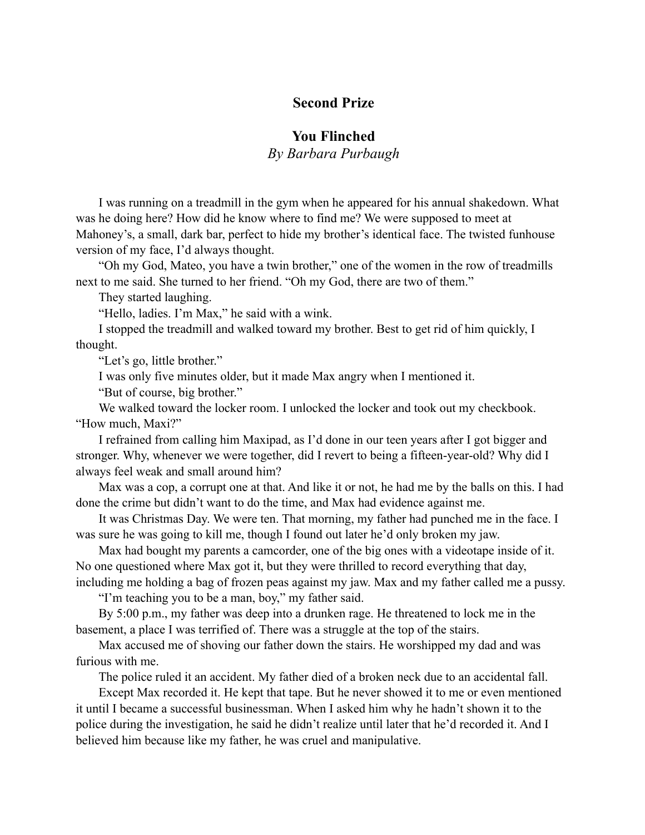## **Second Prize**

## **You Flinched**

*By Barbara Purbaugh*

I was running on a treadmill in the gym when he appeared for his annual shakedown. What was he doing here? How did he know where to find me? We were supposed to meet at Mahoney's, a small, dark bar, perfect to hide my brother's identical face. The twisted funhouse version of my face, I'd always thought.

"Oh my God, Mateo, you have a twin brother," one of the women in the row of treadmills next to me said. She turned to her friend. "Oh my God, there are two of them."

They started laughing.

"Hello, ladies. I'm Max," he said with a wink.

I stopped the treadmill and walked toward my brother. Best to get rid of him quickly, I thought.

"Let's go, little brother."

I was only five minutes older, but it made Max angry when I mentioned it.

"But of course, big brother."

We walked toward the locker room. I unlocked the locker and took out my checkbook. "How much, Maxi?"

I refrained from calling him Maxipad, as I'd done in our teen years after I got bigger and stronger. Why, whenever we were together, did I revert to being a fifteen-year-old? Why did I always feel weak and small around him?

Max was a cop, a corrupt one at that. And like it or not, he had me by the balls on this. I had done the crime but didn't want to do the time, and Max had evidence against me.

It was Christmas Day. We were ten. That morning, my father had punched me in the face. I was sure he was going to kill me, though I found out later he'd only broken my jaw.

Max had bought my parents a camcorder, one of the big ones with a videotape inside of it. No one questioned where Max got it, but they were thrilled to record everything that day, including me holding a bag of frozen peas against my jaw. Max and my father called me a pussy.

"I'm teaching you to be a man, boy," my father said.

By 5:00 p.m., my father was deep into a drunken rage. He threatened to lock me in the basement, a place I was terrified of. There was a struggle at the top of the stairs.

Max accused me of shoving our father down the stairs. He worshipped my dad and was furious with me.

The police ruled it an accident. My father died of a broken neck due to an accidental fall.

Except Max recorded it. He kept that tape. But he never showed it to me or even mentioned it until I became a successful businessman. When I asked him why he hadn't shown it to the police during the investigation, he said he didn't realize until later that he'd recorded it. And I believed him because like my father, he was cruel and manipulative.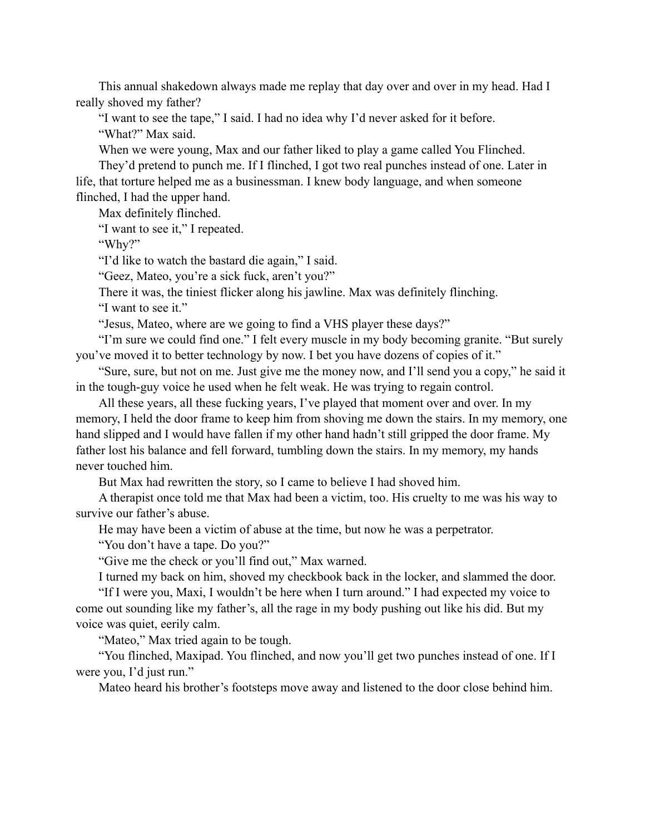This annual shakedown always made me replay that day over and over in my head. Had I really shoved my father?

"I want to see the tape," I said. I had no idea why I'd never asked for it before. "What?" Max said.

When we were young, Max and our father liked to play a game called You Flinched.

They'd pretend to punch me. If I flinched, I got two real punches instead of one. Later in life, that torture helped me as a businessman. I knew body language, and when someone flinched, I had the upper hand.

Max definitely flinched.

"I want to see it," I repeated.

"Why?"

"I'd like to watch the bastard die again," I said.

"Geez, Mateo, you're a sick fuck, aren't you?"

There it was, the tiniest flicker along his jawline. Max was definitely flinching.

"I want to see it."

"Jesus, Mateo, where are we going to find a VHS player these days?"

"I'm sure we could find one." I felt every muscle in my body becoming granite. "But surely you've moved it to better technology by now. I bet you have dozens of copies of it."

"Sure, sure, but not on me. Just give me the money now, and I'll send you a copy," he said it in the tough-guy voice he used when he felt weak. He was trying to regain control.

All these years, all these fucking years, I've played that moment over and over. In my memory, I held the door frame to keep him from shoving me down the stairs. In my memory, one hand slipped and I would have fallen if my other hand hadn't still gripped the door frame. My father lost his balance and fell forward, tumbling down the stairs. In my memory, my hands never touched him.

But Max had rewritten the story, so I came to believe I had shoved him.

A therapist once told me that Max had been a victim, too. His cruelty to me was his way to survive our father's abuse.

He may have been a victim of abuse at the time, but now he was a perpetrator.

"You don't have a tape. Do you?"

"Give me the check or you'll find out," Max warned.

I turned my back on him, shoved my checkbook back in the locker, and slammed the door.

"If I were you, Maxi, I wouldn't be here when I turn around." I had expected my voice to come out sounding like my father's, all the rage in my body pushing out like his did. But my voice was quiet, eerily calm.

"Mateo," Max tried again to be tough.

"You flinched, Maxipad. You flinched, and now you'll get two punches instead of one. If I were you, I'd just run."

Mateo heard his brother's footsteps move away and listened to the door close behind him.